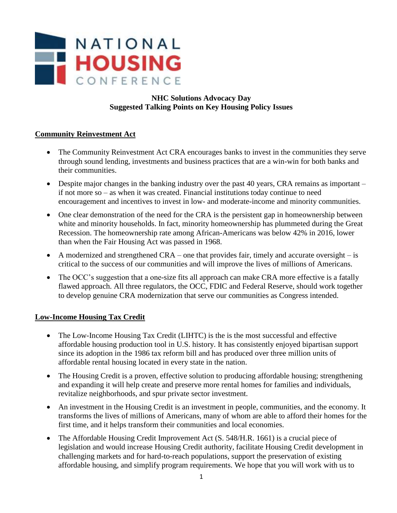

# **Suggested Talking Points on Key Housing Policy Issues**

#### **Community Reinvestment Act**

- The Community Reinvestment Act CRA encourages banks to invest in the communities they serve through sound lending, investments and business practices that are a win-win for both banks and their communities.
- Despite major changes in the banking industry over the past 40 years, CRA remains as important if not more so – as when it was created. Financial institutions today continue to need encouragement and incentives to invest in low- and moderate-income and minority communities.
- One clear demonstration of the need for the CRA is the persistent gap in homeownership between white and minority households. In fact, minority homeownership has plummeted during the Great Recession. The homeownership rate among African-Americans was below 42% in 2016, lower than when the Fair Housing Act was passed in 1968.
- A modernized and strengthened CRA one that provides fair, timely and accurate oversight is critical to the success of our communities and will improve the lives of millions of Americans.
- The OCC's suggestion that a one-size fits all approach can make CRA more effective is a fatally flawed approach. All three regulators, the OCC, FDIC and Federal Reserve, should work together to develop genuine CRA modernization that serve our communities as Congress intended.

# **Low-Income Housing Tax Credit**

- The Low-Income Housing Tax Credit (LIHTC) is the is the most successful and effective affordable housing production tool in U.S. history. It has consistently enjoyed bipartisan support since its adoption in the 1986 tax reform bill and has produced over three million units of affordable rental housing located in every state in the nation.
- The Housing Credit is a proven, effective solution to producing affordable housing; strengthening and expanding it will help create and preserve more rental homes for families and individuals, revitalize neighborhoods, and spur private sector investment.
- An investment in the Housing Credit is an investment in people, communities, and the economy. It transforms the lives of millions of Americans, many of whom are able to afford their homes for the first time, and it helps transform their communities and local economies.
- The Affordable Housing Credit Improvement Act (S. 548/H.R. 1661) is a crucial piece of legislation and would increase Housing Credit authority, facilitate Housing Credit development in challenging markets and for hard-to-reach populations, support the preservation of existing affordable housing, and simplify program requirements. We hope that you will work with us to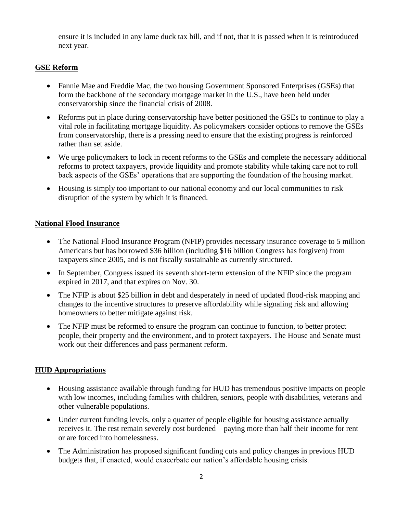ensure it is included in any lame duck tax bill, and if not, that it is passed when it is reintroduced next year.

# **GSE Reform**

- Fannie Mae and Freddie Mac, the two housing Government Sponsored Enterprises (GSEs) that form the backbone of the secondary mortgage market in the U.S., have been held under conservatorship since the financial crisis of 2008.
- Reforms put in place during conservatorship have better positioned the GSEs to continue to play a vital role in facilitating mortgage liquidity. As policymakers consider options to remove the GSEs from conservatorship, there is a pressing need to ensure that the existing progress is reinforced rather than set aside.
- We urge policymakers to lock in recent reforms to the GSEs and complete the necessary additional reforms to protect taxpayers, provide liquidity and promote stability while taking care not to roll back aspects of the GSEs' operations that are supporting the foundation of the housing market.
- Housing is simply too important to our national economy and our local communities to risk disruption of the system by which it is financed.

# **National Flood Insurance**

- The National Flood Insurance Program (NFIP) provides necessary insurance coverage to 5 million Americans but has borrowed \$36 billion (including \$16 billion Congress has forgiven) from taxpayers since 2005, and is not fiscally sustainable as currently structured.
- In September, Congress issued its seventh short-term extension of the NFIP since the program expired in 2017, and that expires on Nov. 30.
- The NFIP is about \$25 billion in debt and desperately in need of updated flood-risk mapping and changes to the incentive structures to preserve affordability while signaling risk and allowing homeowners to better mitigate against risk.
- The NFIP must be reformed to ensure the program can continue to function, to better protect people, their property and the environment, and to protect taxpayers. The House and Senate must work out their differences and pass permanent reform.

# **HUD Appropriations**

- Housing assistance available through funding for HUD has tremendous positive impacts on people with low incomes, including families with children, seniors, people with disabilities, veterans and other vulnerable populations.
- Under current funding levels, only a quarter of people eligible for housing assistance actually receives it. The rest remain severely cost burdened – paying more than half their income for rent – or are forced into homelessness.
- The Administration has proposed significant funding cuts and policy changes in previous HUD budgets that, if enacted, would exacerbate our nation's affordable housing crisis.